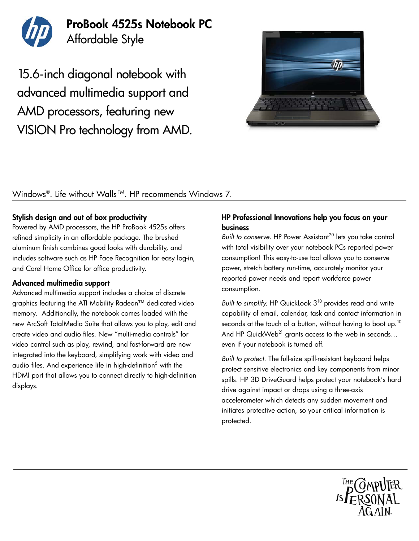

## ProBook 4525s Notebook PC Affordable Style

15.6-inch diagonal notebook with advanced multimedia support and AMD processors, featuring new VISION Pro technology from AMD.



### Windows®. Life without Walls<sup>™</sup>. HP recommends Windows 7.

#### Stylish design and out of box productivity

Powered by AMD processors, the HP ProBook 4525s offers refined simplicity in an affordable package. The brushed aluminum finish combines good looks with durability, and includes software such as HP Face Recognition for easy log-in, and Corel Home Office for office productivity.

#### Advanced multimedia support

Advanced multimedia support includes a choice of discrete graphics featuring the ATI Mobility Radeon™ dedicated video memory. Additionally, the notebook comes loaded with the new ArcSoft TotalMedia Suite that allows you to play, edit and create video and audio files. New "multi-media controls" for video control such as play, rewind, and fast-forward are now integrated into the keyboard, simplifying work with video and audio files. And experience life in high-definition<sup>5</sup> with the HDMI port that allows you to connect directly to high-definition displays.

#### HP Professional Innovations help you focus on your business

*Built to conserve.* HP Power Assistant<sup>20</sup> lets you take control with total visibility over your notebook PCs reported power consumption! This easy-to-use tool allows you to conserve power, stretch battery run-time, accurately monitor your reported power needs and report workforce power consumption.

*Built to simplify.* HP QuickLook 3<sup>10</sup> provides read and write capability of email, calendar, task and contact information in seconds at the touch of a button, without having to boot up.<sup>10</sup> And HP QuickWeb<sup>21</sup> grants access to the web in seconds... even if your notebook is turned off.

*Built to protect.* The full-size spill-resistant keyboard helps protect sensitive electronics and key components from minor spills. HP 3D DriveGuard helps protect your notebook's hard drive against impact or drops using a three-axis accelerometer which detects any sudden movement and initiates protective action, so your critical information is protected.

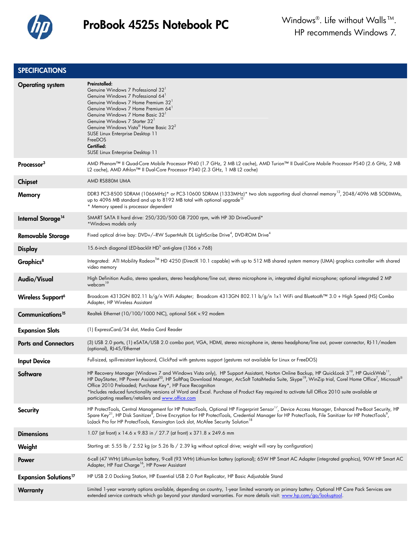

#### **SPECIFICATIONS**

| <b>Operating system</b>                 | Preinstalled:<br>Genuine Windows 7 Professional 32'<br>Genuine Windows 7 Professional 64<br>Genuine Windows 7 Home Premium 32 <sup>1</sup><br>Genuine Windows 7 Home Premium 64 <sup>1</sup><br>Genuine Windows 7 Home Basic 32 <sup>1</sup><br>Genuine Windows 7 Starter 32 <sup>1</sup><br>Genuine Windows Vista® Home Basic 32 <sup>2</sup><br>SUSE Linux Enterprise Desktop 11<br>FreeDOS<br>Certified:<br>SUSE Linux Enterprise Desktop 11                                                                                                                                                                                 |
|-----------------------------------------|---------------------------------------------------------------------------------------------------------------------------------------------------------------------------------------------------------------------------------------------------------------------------------------------------------------------------------------------------------------------------------------------------------------------------------------------------------------------------------------------------------------------------------------------------------------------------------------------------------------------------------|
| Processor <sup>3</sup>                  | AMD Phenom™ II Quad-Core Mobile Processor P940 (1.7 GHz, 2 MB L2 cache), AMD Turion™ II Dual-Core Mobile Processor P540 (2.6 GHz, 2 MB<br>L2 cache), AMD Athlon™ II Dual-Core Processor P340 (2.3 GHz, 1 MB L2 cache)                                                                                                                                                                                                                                                                                                                                                                                                           |
| <b>Chipset</b>                          | AMD RS880M UMA                                                                                                                                                                                                                                                                                                                                                                                                                                                                                                                                                                                                                  |
| Memory                                  | DDR3 PC3-8500 SDRAM (1066MHz)* or PC3-10600 SDRAM (1333MHz)* two slots supporting dual channel memory <sup>12</sup> , 2048/4096 MB SODIMMs,<br>up to 4096 MB standard and up to 8192 MB total with optional upgrade <sup>13</sup><br>* Memory speed is processor dependent                                                                                                                                                                                                                                                                                                                                                      |
| Internal Storage <sup>14</sup>          | SMART SATA II hard drive: 250/320/500 GB 7200 rpm, with HP 3D DriveGuard*<br>*Windows models only                                                                                                                                                                                                                                                                                                                                                                                                                                                                                                                               |
| <b>Removable Storage</b>                | Fixed optical drive bay: DVD+/-RW SuperMulti DL LightScribe Drive <sup>4</sup> , DVD-ROM Drive <sup>4</sup>                                                                                                                                                                                                                                                                                                                                                                                                                                                                                                                     |
| <b>Display</b>                          | 15.6-inch diagonal LED-backlit HD <sup>5</sup> anti-glare (1366 x 768)                                                                                                                                                                                                                                                                                                                                                                                                                                                                                                                                                          |
| Graphics <sup>8</sup>                   | Integrated: ATI Mobility Radeon <sup>TM</sup> HD 4250 (DirectX 10.1 capable) with up to 512 MB shared system memory (UMA) graphics controller with shared<br>video memory                                                                                                                                                                                                                                                                                                                                                                                                                                                       |
| Audio/Visual                            | High Definition Audio, stereo speakers, stereo headphone/line out, stereo microphone in, integrated digital microphone; optional integrated 2 MP<br>webcam <sup>19</sup>                                                                                                                                                                                                                                                                                                                                                                                                                                                        |
| Wireless Support <sup>6</sup>           | Broadcom 4313GN 802.11 b/g/n WiFi Adapter; Broadcom 4313GN 802.11 b/g/n 1x1 WiFi and Bluetooth™ 3.0 + High Speed (HS) Combo<br>Adapter, HP Wireless Assistant                                                                                                                                                                                                                                                                                                                                                                                                                                                                   |
| Communications <sup>15</sup>            | Realtek Ethernet (10/100/1000 NIC), optional 56K v.92 modem                                                                                                                                                                                                                                                                                                                                                                                                                                                                                                                                                                     |
| <b>Expansion Slots</b>                  | (1) ExpressCard/34 slot, Media Card Reader                                                                                                                                                                                                                                                                                                                                                                                                                                                                                                                                                                                      |
| <b>Ports and Connectors</b>             | (3) USB 2.0 ports, (1) eSATA/USB 2.0 combo port, VGA, HDMI, stereo microphone in, stereo headphone/line out, power connector, RJ-11/modem<br>(optional), RJ-45/Ethernet                                                                                                                                                                                                                                                                                                                                                                                                                                                         |
| <b>Input Device</b>                     | Full-sized, spill-resistant keyboard, ClickPad with gestures support (gestures not available for Linux or FreeDOS)                                                                                                                                                                                                                                                                                                                                                                                                                                                                                                              |
| Software                                | HP Recovery Manager (Windows 7 and Windows Vista only), HP Support Assistant, Norton Online Backup, HP QuickLook 3 <sup>10</sup> , HP QuickWeb <sup>11</sup> ,<br>HP DayStarter, HP Power Assistant <sup>20</sup> , HP SoftPaq Download Manager, ArcSoft TotalMedia Suite, Skype <sup>19</sup> , WinZip trial, Corel Home Office <sup>7</sup> , Microsoft®<br>Office 2010 Preloaded; Purchase Key*, HP Face Recognition<br>*Includes reduced functionality versions of Word and Excel. Purchase of Product Key required to activate full Office 2010 suite available at<br>participating resellers/retailers and www.office.com |
| Security                                | HP ProtectTools, Central Management for HP ProtectTools, Optional HP Fingerprint Sensor <sup>17</sup> , Device Access Manager, Enhanced Pre-Boot Security, HP<br>Spare Key <sup>21</sup> , HP Disk Sanitizer <sup>9</sup> , Drive Encryption for HP ProtectTools, Credential Manager for HP ProtectTools, File Sanitizer for HP ProtectTools <sup>9</sup> ,<br>LoJack Pro for HP ProtectTools, Kensington Lock slot, McAfee Security Solution <sup>18</sup>                                                                                                                                                                     |
| <b>Dimensions</b>                       | 1.07 (at front) x 14.6 x 9.83 in / 27.7 (at front) x 371.8 x 249.6 mm                                                                                                                                                                                                                                                                                                                                                                                                                                                                                                                                                           |
| Weight                                  | Starting at: 5.55 lb / 2.52 kg (or 5.26 lb / 2.39 kg without optical drive; weight will vary by configuration)                                                                                                                                                                                                                                                                                                                                                                                                                                                                                                                  |
| Power                                   | 6-cell (47 WHr) Lithium-Ion battery, 9-cell (93 WHr) Lithium-Ion battery (optional); 65W HP Smart AC Adapter (integrated graphics), 90W HP Smart AC<br>Adapter, HP Fast Charge <sup>16</sup> , HP Power Assistant                                                                                                                                                                                                                                                                                                                                                                                                               |
| <b>Expansion Solutions<sup>17</sup></b> | HP USB 2.0 Docking Station, HP Essential USB 2.0 Port Replicator, HP Basic Adjustable Stand                                                                                                                                                                                                                                                                                                                                                                                                                                                                                                                                     |
| <b>Warranty</b>                         | Limited 1-year warranty options available, depending on country, 1-year limited warranty on primary battery. Optional HP Care Pack Services are<br>extended service contracts which go beyond your standard warranties. For more details visit: www.hp.com/go/lookuptool.                                                                                                                                                                                                                                                                                                                                                       |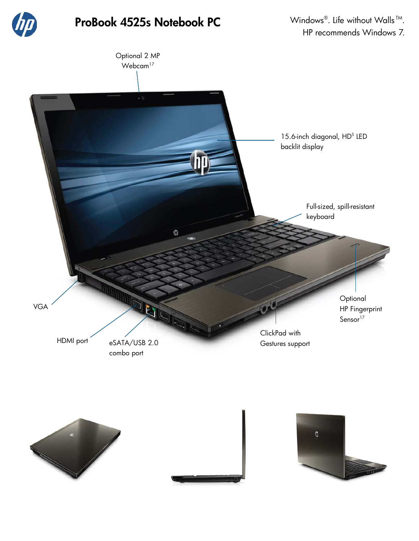

# ProBook 4525s Notebook PC Windows®. Life without Walls™.